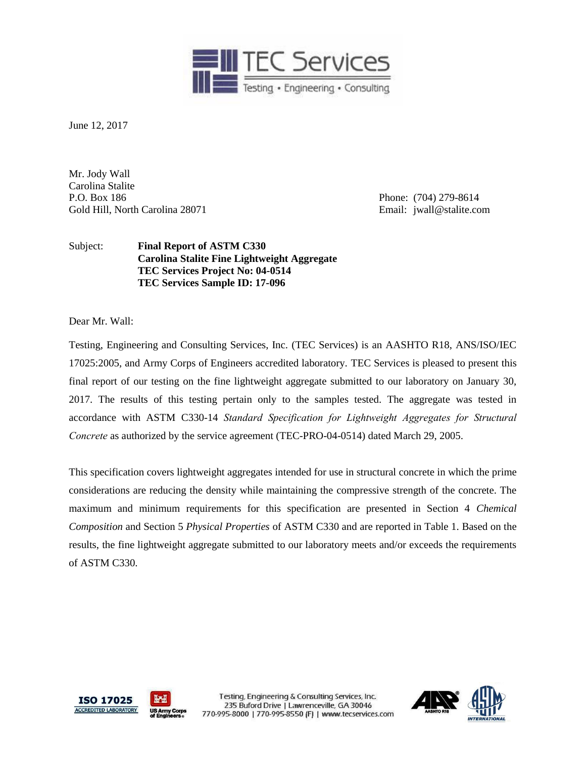

June 12, 2017

Mr. Jody Wall Carolina Stalite P.O. Box 186 Phone: (704) 279-8614 Gold Hill, North Carolina 28071 **Email:** jwall@stalite.com

Subject: **Final Report of ASTM C330 Carolina Stalite Fine Lightweight Aggregate TEC Services Project No: 04-0514 TEC Services Sample ID: 17-096**

Dear Mr. Wall:

Testing, Engineering and Consulting Services, Inc. (TEC Services) is an AASHTO R18, ANS/ISO/IEC 17025:2005, and Army Corps of Engineers accredited laboratory. TEC Services is pleased to present this final report of our testing on the fine lightweight aggregate submitted to our laboratory on January 30, 2017. The results of this testing pertain only to the samples tested. The aggregate was tested in accordance with ASTM C330-14 *Standard Specification for Lightweight Aggregates for Structural Concrete* as authorized by the service agreement (TEC-PRO-04-0514) dated March 29, 2005.

This specification covers lightweight aggregates intended for use in structural concrete in which the prime considerations are reducing the density while maintaining the compressive strength of the concrete. The maximum and minimum requirements for this specification are presented in Section 4 *Chemical Composition* and Section 5 *Physical Properties* of ASTM C330 and are reported in Table 1. Based on the results, the fine lightweight aggregate submitted to our laboratory meets and/or exceeds the requirements of ASTM C330.



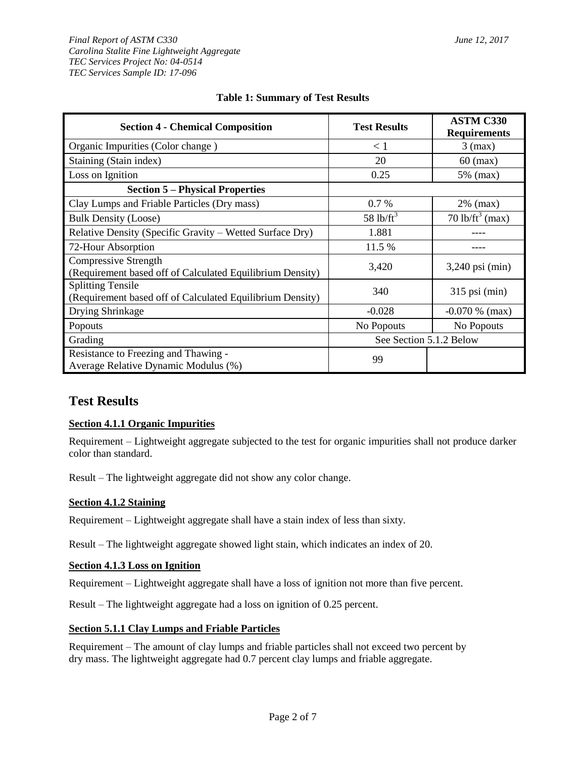| <b>Section 4 - Chemical Composition</b>                                               | <b>Test Results</b>     | <b>ASTM C330</b><br><b>Requirements</b> |  |  |
|---------------------------------------------------------------------------------------|-------------------------|-----------------------------------------|--|--|
| Organic Impurities (Color change)                                                     | < 1                     | $3$ (max)                               |  |  |
| Staining (Stain index)                                                                | 20                      | $60 \text{ (max)}$                      |  |  |
| Loss on Ignition                                                                      | 0.25                    | 5% (max)                                |  |  |
| <b>Section 5 – Physical Properties</b>                                                |                         |                                         |  |  |
| Clay Lumps and Friable Particles (Dry mass)                                           | $0.7\%$                 | $2\%$ (max)                             |  |  |
| <b>Bulk Density (Loose)</b>                                                           | $58$ lb/ft <sup>3</sup> | $70$ lb/ft <sup>3</sup> (max)           |  |  |
| Relative Density (Specific Gravity – Wetted Surface Dry)                              | 1.881                   |                                         |  |  |
| 72-Hour Absorption                                                                    | 11.5 %                  |                                         |  |  |
| Compressive Strength<br>(Requirement based off of Calculated Equilibrium Density)     | 3,420                   | $3,240 \text{ psi (min)}$               |  |  |
| <b>Splitting Tensile</b><br>(Requirement based off of Calculated Equilibrium Density) | 340                     | $315$ psi (min)                         |  |  |
| Drying Shrinkage                                                                      | $-0.028$                | $-0.070\%$ (max)                        |  |  |
| Popouts                                                                               | No Popouts              | No Popouts                              |  |  |
| Grading                                                                               | See Section 5.1.2 Below |                                         |  |  |
| Resistance to Freezing and Thawing -<br>Average Relative Dynamic Modulus (%)          | 99                      |                                         |  |  |

## **Table 1: Summary of Test Results**

## **Test Results**

## **Section 4.1.1 Organic Impurities**

Requirement – Lightweight aggregate subjected to the test for organic impurities shall not produce darker color than standard.

Result – The lightweight aggregate did not show any color change.

#### **Section 4.1.2 Staining**

Requirement – Lightweight aggregate shall have a stain index of less than sixty.

Result – The lightweight aggregate showed light stain, which indicates an index of 20.

#### **Section 4.1.3 Loss on Ignition**

Requirement – Lightweight aggregate shall have a loss of ignition not more than five percent.

Result – The lightweight aggregate had a loss on ignition of 0.25 percent.

#### **Section 5.1.1 Clay Lumps and Friable Particles**

Requirement – The amount of clay lumps and friable particles shall not exceed two percent by dry mass. The lightweight aggregate had 0.7 percent clay lumps and friable aggregate.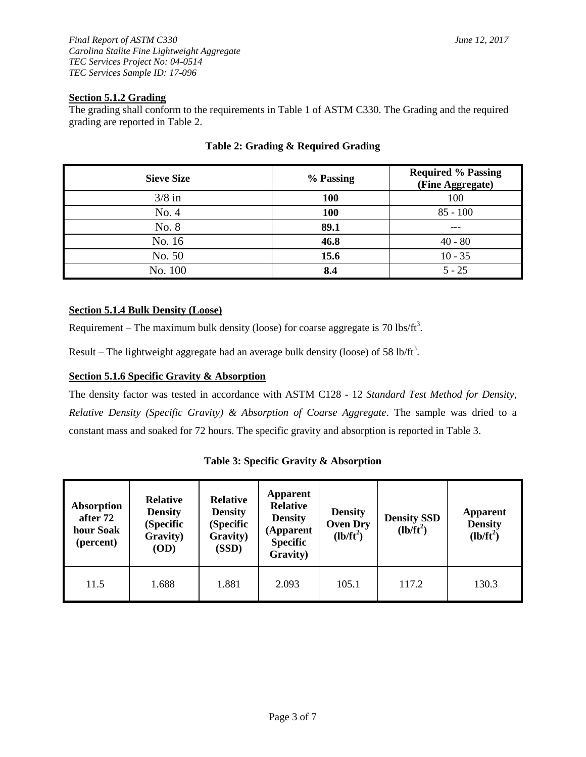## **Section 5.1.2 Grading**

The grading shall conform to the requirements in Table 1 of ASTM C330. The Grading and the required grading are reported in Table 2.

| <b>Sieve Size</b> | % Passing | <b>Required % Passing</b><br>(Fine Aggregate) |
|-------------------|-----------|-----------------------------------------------|
| $3/8$ in          | 100       | 100                                           |
| No. 4             | 100       | $85 - 100$                                    |
| No. 8             | 89.1      |                                               |
| No. 16            | 46.8      | $40 - 80$                                     |
| No. 50            | 15.6      | $10 - 35$                                     |
| No. 100           | 8.4       | $5 - 25$                                      |

## **Table 2: Grading & Required Grading**

## **Section 5.1.4 Bulk Density (Loose)**

Requirement – The maximum bulk density (loose) for coarse aggregate is 70 lbs/ft<sup>3</sup>.

Result – The lightweight aggregate had an average bulk density (loose) of 58 lb/ft<sup>3</sup>.

## **Section 5.1.6 Specific Gravity & Absorption**

The density factor was tested in accordance with ASTM C128 - 12 *Standard Test Method for Density, Relative Density (Specific Gravity) & Absorption of Coarse Aggregate*. The sample was dried to a constant mass and soaked for 72 hours. The specific gravity and absorption is reported in Table 3.

#### **Table 3: Specific Gravity & Absorption**

| <b>Absorption</b><br>after 72<br>hour Soak<br>(percent) | <b>Relative</b><br><b>Density</b><br>(Specific<br>Gravity)<br>(OD) | <b>Relative</b><br><b>Density</b><br>(Specific<br>Gravity)<br>(SSD) | <b>Apparent</b><br><b>Relative</b><br><b>Density</b><br>(Apparent<br><b>Specific</b><br>Gravity) | <b>Density</b><br><b>Oven Dry</b><br>$(lb/ft^2)$ | <b>Density SSD</b><br>$(lb/ft^2)$ | <b>Apparent</b><br><b>Density</b><br>$(lb/ft^2)$ |  |
|---------------------------------------------------------|--------------------------------------------------------------------|---------------------------------------------------------------------|--------------------------------------------------------------------------------------------------|--------------------------------------------------|-----------------------------------|--------------------------------------------------|--|
| 11.5                                                    | 1.688                                                              | 1.881                                                               | 2.093                                                                                            | 105.1                                            | 117.2                             | 130.3                                            |  |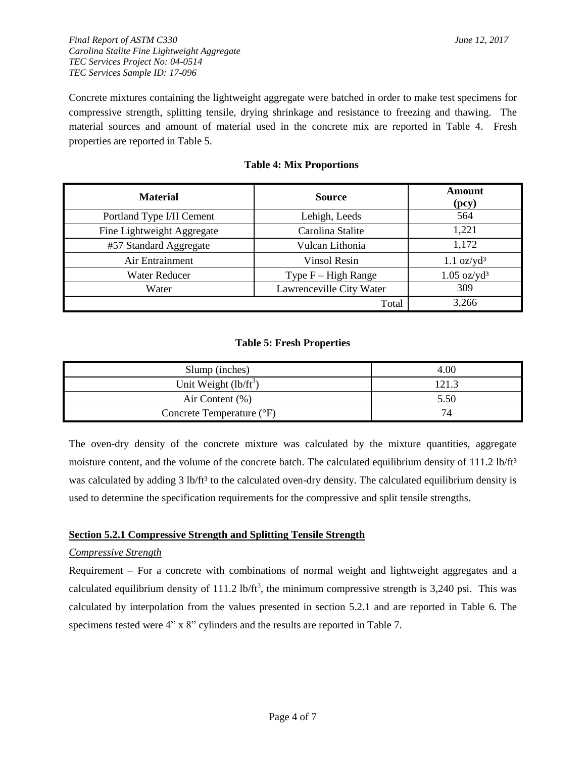*Final Report of ASTM C330 June 12, 2017 Carolina Stalite Fine Lightweight Aggregate TEC Services Project No: 04-0514 TEC Services Sample ID: 17-096*

Concrete mixtures containing the lightweight aggregate were batched in order to make test specimens for compressive strength, splitting tensile, drying shrinkage and resistance to freezing and thawing. The material sources and amount of material used in the concrete mix are reported in Table 4. Fresh properties are reported in Table 5.

| <b>Material</b>            | <b>Source</b>            | Amount<br>(pcy)              |
|----------------------------|--------------------------|------------------------------|
| Portland Type I/II Cement  | Lehigh, Leeds            | 564                          |
| Fine Lightweight Aggregate | Carolina Stalite         | 1,221                        |
| #57 Standard Aggregate     | Vulcan Lithonia          | 1,172                        |
| Air Entrainment            | <b>Vinsol Resin</b>      | $1.1 \text{ oz}/\text{yd}^3$ |
| Water Reducer              | Type $F - High Range$    | $1.05 \text{ oz/yd}^3$       |
| Water                      | Lawrenceville City Water | 309                          |
|                            | Total                    | 3,266                        |

#### **Table 4: Mix Proportions**

#### **Table 5: Fresh Properties**

| Slump (inches)            | 4.00  |
|---------------------------|-------|
| Unit Weight $(lb/ft^3)$   | 121.3 |
| Air Content $(\% )$       | 5.50  |
| Concrete Temperature (°F) | 74    |

The oven-dry density of the concrete mixture was calculated by the mixture quantities, aggregate moisture content, and the volume of the concrete batch. The calculated equilibrium density of 111.2 lb/ft<sup>3</sup> was calculated by adding 3 lb/ft<sup>3</sup> to the calculated oven-dry density. The calculated equilibrium density is used to determine the specification requirements for the compressive and split tensile strengths.

#### **Section 5.2.1 Compressive Strength and Splitting Tensile Strength**

#### *Compressive Strength*

Requirement – For a concrete with combinations of normal weight and lightweight aggregates and a calculated equilibrium density of 111.2 lb/ft<sup>3</sup>, the minimum compressive strength is 3,240 psi. This was calculated by interpolation from the values presented in section 5.2.1 and are reported in Table 6. The specimens tested were 4" x 8" cylinders and the results are reported in Table 7.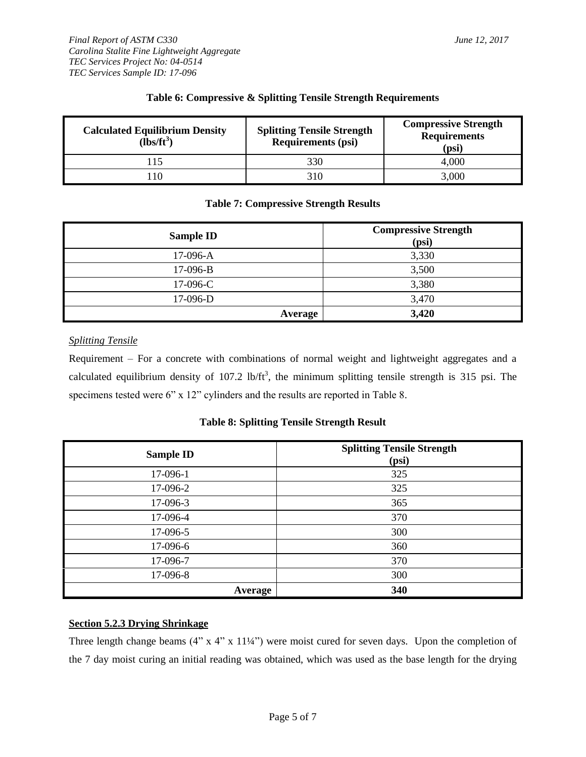| <b>Calculated Equilibrium Density</b><br>$(lbs/ft3)$ | <b>Splitting Tensile Strength</b><br><b>Requirements (psi)</b> | <b>Compressive Strength</b><br><b>Requirements</b><br>(psi) |  |  |
|------------------------------------------------------|----------------------------------------------------------------|-------------------------------------------------------------|--|--|
| $\overline{15}$                                      | 330                                                            | 4.000                                                       |  |  |
| 10                                                   | 310                                                            | 3,000                                                       |  |  |

## **Table 6: Compressive & Splitting Tensile Strength Requirements**

## **Table 7: Compressive Strength Results**

| Sample ID  | <b>Compressive Strength</b><br>(psi) |
|------------|--------------------------------------|
| 17-096-A   | 3,330                                |
| 17-096-B   | 3,500                                |
| $17-096-C$ | 3,380                                |
| $17-096-D$ | 3,470                                |
| Average    | 3,420                                |

#### *Splitting Tensile*

Requirement – For a concrete with combinations of normal weight and lightweight aggregates and a calculated equilibrium density of  $107.2 \text{ lb/ft}^3$ , the minimum splitting tensile strength is 315 psi. The specimens tested were 6" x 12" cylinders and the results are reported in Table 8.

**Table 8: Splitting Tensile Strength Result**

| <b>Sample ID</b> | <b>Splitting Tensile Strength</b><br>(psi) |
|------------------|--------------------------------------------|
| 17-096-1         | 325                                        |
| 17-096-2         | 325                                        |
| 17-096-3         | 365                                        |
| 17-096-4         | 370                                        |
| 17-096-5         | 300                                        |
| 17-096-6         | 360                                        |
| 17-096-7         | 370                                        |
| 17-096-8         | 300                                        |
| Average          | 340                                        |

## **Section 5.2.3 Drying Shrinkage**

Three length change beams (4" x 4" x 11¼") were moist cured for seven days. Upon the completion of the 7 day moist curing an initial reading was obtained, which was used as the base length for the drying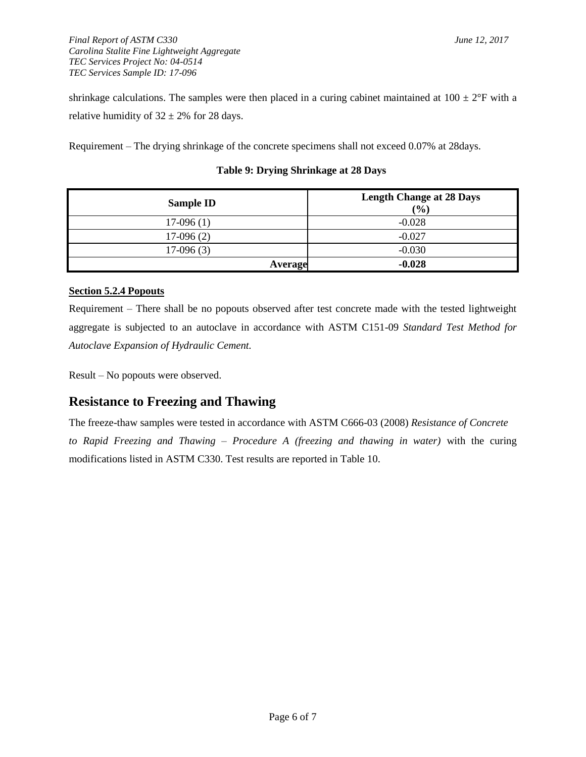*Final Report of ASTM C330 June 12, 2017 Carolina Stalite Fine Lightweight Aggregate TEC Services Project No: 04-0514 TEC Services Sample ID: 17-096*

shrinkage calculations. The samples were then placed in a curing cabinet maintained at  $100 \pm 2$ °F with a relative humidity of  $32 \pm 2\%$  for 28 days.

Requirement – The drying shrinkage of the concrete specimens shall not exceed 0.07% at 28days.

| <b>Sample ID</b> | <b>Length Change at 28 Days</b><br>(%) |
|------------------|----------------------------------------|
| $17-096(1)$      | $-0.028$                               |
| $17-096(2)$      | $-0.027$                               |
| $17-096(3)$      | $-0.030$                               |
| <b>Average</b>   | $-0.028$                               |

## **Table 9: Drying Shrinkage at 28 Days**

## **Section 5.2.4 Popouts**

Requirement – There shall be no popouts observed after test concrete made with the tested lightweight aggregate is subjected to an autoclave in accordance with ASTM C151-09 *Standard Test Method for Autoclave Expansion of Hydraulic Cement.*

Result – No popouts were observed.

# **Resistance to Freezing and Thawing**

The freeze-thaw samples were tested in accordance with ASTM C666-03 (2008) *Resistance of Concrete to Rapid Freezing and Thawing – Procedure A (freezing and thawing in water)* with the curing modifications listed in ASTM C330. Test results are reported in Table 10.